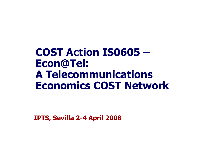# **COST Action IS0605 –Econ@Tel: A Telecommunications Economics COST Network**

**IPTS, Sevilla 2-4 April 2008**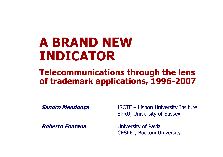# **A BRAND NEW INDICATOR**

## **Telecommunications through the lens of trademark applications, 1996-2007**

**Sandro Mendonça** ISCTE –

**Roberto Fontana** University of Pavia

Lisbon University Insitute SPRU, University of Sussex

CESPRI, Bocconi University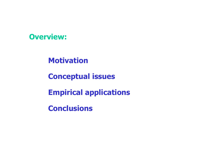

**Motivation**

**Conceptual issues**

**Empirical applications**

**Conclusions**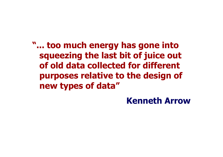**"... too much energy has gone into squeezing the last bit of juice out of old data collected for different purposes relative to the design of new types of data"**

## **Kenneth Arrow**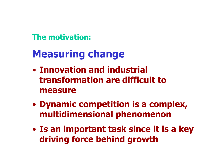**The motivation:**

# **Measuring change**

- **Innovation and industrial transformation are difficult to measure**
- $\bullet$  **Dynamic competition is a complex, multidimensional phenomenon**
- $\bullet$  **Is an important task since it is a key driving force behind growth**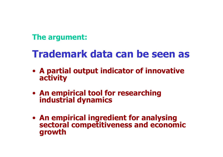## **The argument:**

# **Trademark data can be seen as**

- **A partial output indicator of innovative activity**
- **An empirical tool for researching industrial dynamics**
- **An empirical ingredient for analysing sectoral competitiveness and economic growth**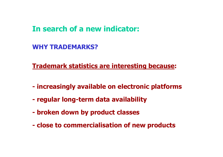### **In search of a new indicator:**

**WHY TRADEMARKS?**

**Trademark statistics are interesting because:**

- **increasingly available on electronic platforms**
- **- regular long-term data availability**
- **- broken down by product classes**
- **- close to commercialisation of new products**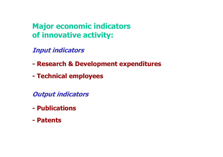**Major economic indicators of innovative activity:**

**Input indicators**

- **- Research & Development expenditures**
- **- Technical employees**

**Output indicators**

- **-Publications**
- **- Patents**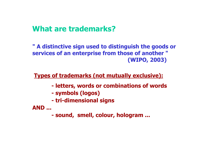### **What are trademarks?**

**" A distinctive sign used to distinguish the goods or services of an enterprise from those of another " (WIPO, 2003)**

**Types of trademarks (not mutually exclusive):**

- **- letters, words or combinations of words**
- **- symbols (logos)**
- **- tri-dimensional signs**

**AND ...**

**- sound, smell, colour, hologram ...**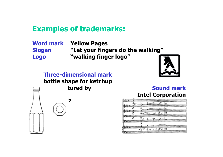### **Examples of trademarks:**

**Word mark Yellow Pages Slogan "Let your fingers do the walking" Logo "walking finger logo"**

**Three-dimensional markbottle shape for ketchup**  tured by

**H.J. Heinz**



#### **Sound mark Intel Corporation**

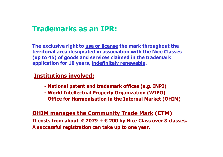### **Trademarks as an IPR:**

**The exclusive right to use or license the mark throughout the territorial area designated in association with the Nice Classes (up to 45) of goods and services claimed in the trademark application for 10 years, indefinitely renewable.**

### **Institutions involved:**

- **- National patent and trademark offices (e.g. INPI)**
- **- World Intellectual Property Organization (WIPO)**
- **- Office for Harmonisation in the Internal Market (OHIM)**

### **OHIM manages the Community Trade Mark (CTM)**

**It costs from about € 2079 + € 200 by Nice Class over 3 classes. A successful registration can take up to one year.**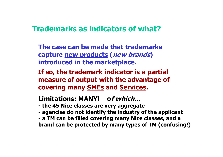### **Trademarks as indicators of what?**

- **The case can be made that trademarks capture new products (new brands) introduced in the marketplace.**
- **If so, the trademark indicator is a partial measure of output with the advantage of covering many SMEs and Services.**

### **Limitations: MANY! of which...**

- **- the 45 Nice classes are very agg regate**
- **- agencies do not identify the industry of the applicant**
- **- a TM can be filled covering m any Nice classes, and a brand can be protected by many t ypes of TM (conf using!)**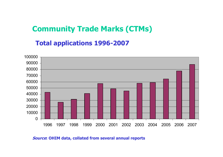### **Community Trade Marks (CTMs)**

### **Total applications 1996-2007**



**Source: OHIM data, collated from several annual reports**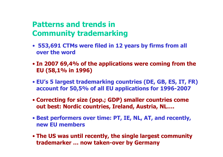### **Patterns and trends inCommunity trademarking**

- **553,691 CTMs were filed in 12 years by firms from all over the word**
- **In 2007 69,4% of the applications were coming from the EU (58,1% in 1996)**
- **EU's 5 largest trademarking countries (DE, GB, ES, IT, FR) account for 50,5% of all EU applications for 1996-2007**
- **Correcting for size (pop.; GDP) smaller countries come out best: Nordic countries, Ireland, Austria, NL….**
- **Best performers over time: PT, IE, NL, AT, and recently, new EU members**
- **The US was until recently, the single largest community trademarker … now taken-over by Germany**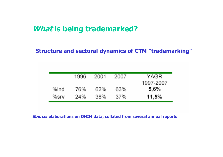### **What is being trademarked?**

### **Structure and sectoral dynamics of CTM "trademarking"**

|         | 1996 | 2001 | 2007 | YAGR              |
|---------|------|------|------|-------------------|
| %ind    | 76%  | 62%  | 63%  | 1997-2007<br>5,6% |
| $%$ srv | 24%  | 38%  | 37%  | 11,5%             |

**Source: elaborations on OHIM data, collated from several annual reports**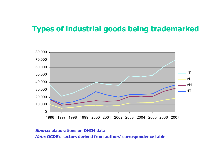### **Types of industrial goods being trademarked**



#### **Source: elaborations on OHIM data**

**Note: OCDE's sectors derived from authors' correspondence table**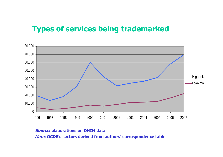### **Types of services being trademarked**



#### **Source: elaborations on OHIM data**

**Note: OCDE's sectors derived from authors' correspondence table**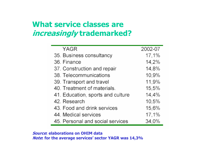### **What service classes are increasingly trademarked?**

| <b>YAGR</b>                       | 2002-07 |
|-----------------------------------|---------|
| 35. Business consultancy          | 17,1%   |
| 36. Finance                       | 14,2%   |
| 37. Construction and repair       | 14,8%   |
| 38. Telecommunications            | 10.9%   |
| 39. Transport and travel          | 11,9%   |
| 40. Treatment of materials.       | 15,5%   |
| 41. Education, sports and culture | 14,4%   |
| 42. Research                      | 10,5%   |
| 43. Food and drink services       | 15,6%   |
| 44. Medical services              | 17,1%   |
| 45. Personal and social services  | 34.0%   |

**Source: elaborations on OHIM data Note: for the average services' sector YAGR was 14,3%**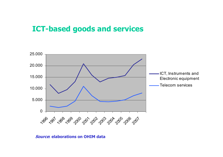### **ICT-based goods and services**



#### **Source: elaborations on OHIM data**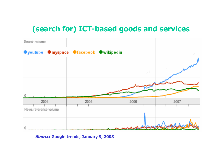## **(search for) ICT-based goods and services**



**Source: Google trends, January 9, 2008**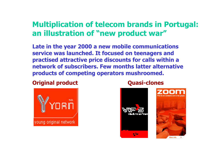### **Multiplication of telecom brands in Portugal: an illustration of "new product war"**

**Late in the year 2000 a new mobile communications service was launched. It focused on teenagers and practised attractive price discounts for calls within a network of subscribers. Few months latter alternati ve products of competing operators mushroomed.** 

### **Original product Quasi-clones**



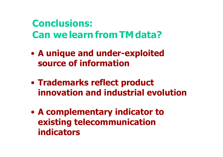# **Conclusions: Canwelearn from TM data?**

- $\bullet$  **A unique and under-exploited source of information**
- $\bullet$  **Trademarks reflect product innovation and industrial evolution**
- $\bullet$  **A complementary indicator to existing telecommunication indicators**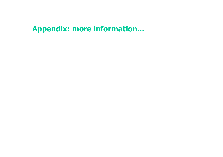## **Appendix: more information...**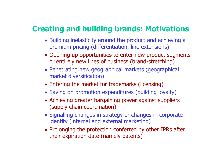### **Creating and building brands: Motivations**

- Building inelasticity around the product and achieving a premium pricing (differentiation, line extensions)
- Opening up opportunities to enter new product segments or entirely new lines of business (brand-stretching)
- Penetrating new geographical markets (geographical market diversification)
- Entering the market for trademarks (licensing)
- Saving on promotion expenditures (building loyalty)
- Achieving greater bargaining power against suppliers (supply chain coordination)
- Signalling changes in strategy or changes in corporate identity (internal and external marketing)
- Prolonging the protection conferred by other IPRs after their expiration date (namely patents)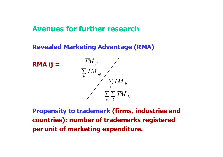### **Avenues for further research**

### **Revealed Marketing Advantage (RMA)**



**Propensity to trademark (firms, industries and countries): number of trademarks registered per unit of marketing expenditure.**